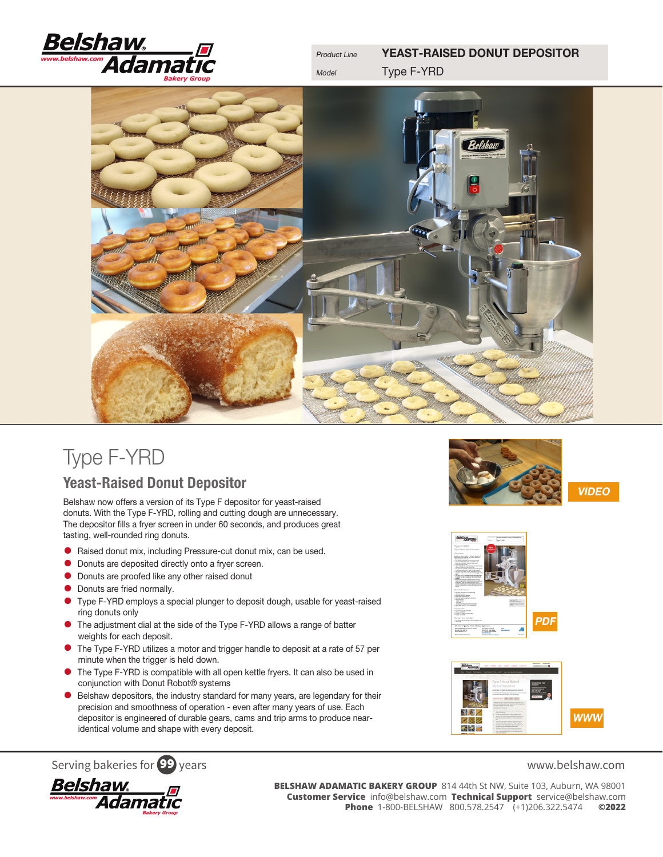

Product Line **YEAST-RAISED DONUT DEPOSITOR** Model **Type F-YRD** 



# Type F-YRD

Yeast-Raised Donut Depositor

Belshaw now offers a version of its Type F depositor for yeast-raised donuts. With the Type F-YRD, rolling and cutting dough are unnecessary. The depositor fills a fryer screen in under 60 seconds, and produces great tasting, well-rounded ring donuts.

- Raised donut mix, including Pressure-cut donut mix, can be used.
- Donuts are deposited directly onto a fryer screen.
- Donuts are proofed like any other raised donut
- **•** Donuts are fried normally.
- Type F-YRD employs a special plunger to deposit dough, usable for yeast-raised ring donuts only
- The adjustment dial at the side of the Type F-YRD allows a range of batter weights for each deposit.
- The Type F-YRD utilizes a motor and trigger handle to deposit at a rate of 57 per minute when the trigger is held down.
- The Type F-YRD is compatible with all open kettle fryers. It can also be used in conjunction with Donut Robot® systems
- Belshaw depositors, the industry standard for many years, are legendary for their precision and smoothness of operation - even after many years of use. Each depositor is engineered of durable gears, cams and trip arms to produce nearidentical volume and shape with every deposit.



VIDEO







Serving bakeries for **99** years<br> **BELSHAW ADAMATIC BAKERY GROUP** 814 44th St NW, Suite 103, Auburn, WA 98001<br> **BELSHAW ADAMATIC BAKERY GROUP** 814 44th St NW, Suite 103, Auburn, WA 98001<br> **Customer Service** info@belshaw.com **BELSHAW ADAMATIC BAKERY GROUP** 814 44th St NW, Suite 103, Auburn, WA 98001 **Customer Service** info@belshaw.com **Technical Support** service@belshaw.com **Phone** 1-800-BELSHAW 800.578.2547 (+1)206.322.5474 **©2022**